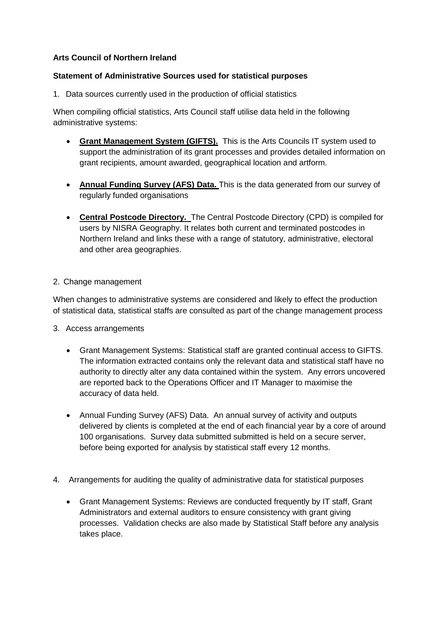## **Arts Council of Northern Ireland**

## **Statement of Administrative Sources used for statistical purposes**

1. Data sources currently used in the production of official statistics

When compiling official statistics, Arts Council staff utilise data held in the following administrative systems:

- **Grant Management System (GIFTS).** This is the Arts Councils IT system used to support the administration of its grant processes and provides detailed information on grant recipients, amount awarded, geographical location and artform.
- **Annual Funding Survey (AFS) Data.** This is the data generated from our survey of regularly funded organisations
- **Central Postcode Directory.** The Central Postcode Directory (CPD) is compiled for users by NISRA Geography. It relates both current and terminated postcodes in Northern Ireland and links these with a range of statutory, administrative, electoral and other area geographies.

## 2. Change management

When changes to administrative systems are considered and likely to effect the production of statistical data, statistical staffs are consulted as part of the change management process

- 3. Access arrangements
	- Grant Management Systems: Statistical staff are granted continual access to GIFTS. The information extracted contains only the relevant data and statistical staff have no authority to directly alter any data contained within the system. Any errors uncovered are reported back to the Operations Officer and IT Manager to maximise the accuracy of data held.
	- Annual Funding Survey (AFS) Data. An annual survey of activity and outputs delivered by clients is completed at the end of each financial year by a core of around 100 organisations. Survey data submitted submitted is held on a secure server, before being exported for analysis by statistical staff every 12 months.
- 4. Arrangements for auditing the quality of administrative data for statistical purposes
	- Grant Management Systems: Reviews are conducted frequently by IT staff, Grant Administrators and external auditors to ensure consistency with grant giving processes. Validation checks are also made by Statistical Staff before any analysis takes place.